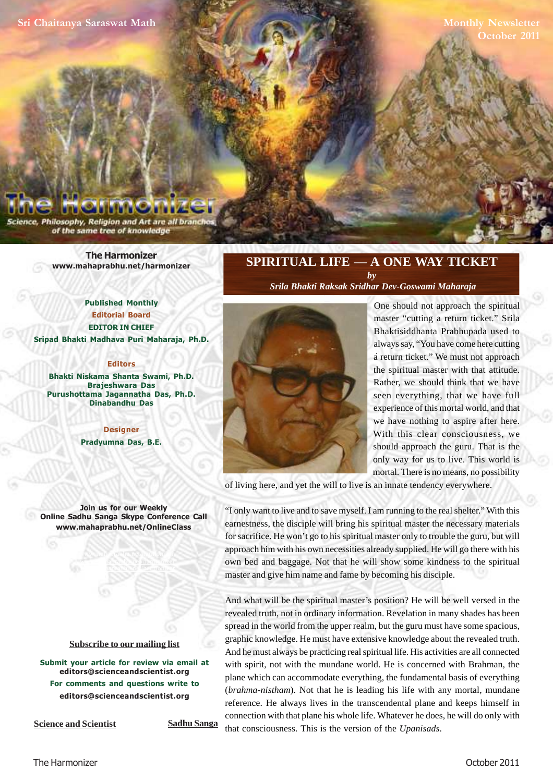**Monthly Newsletter October 2011**

Philosophy, Religion and Art are all branc of the same tree of knowledge

> **The Harmonizer www.mahaprabhu.net/harmonizer**

**Published Monthly Editorial Board EDITOR IN CHIEF Sripad Bhakti Madhava Puri Maharaja, Ph.D.**

# **Editors**

**Bhakti Niskama Shanta Swami, Ph.D. Brajeshwara Das Purushottama Jagannatha Das, Ph.D. Dinabandhu Das**

> **Designer Pradyumna Das, B.E.**

**Join us for our Weekly Online Sadhu Sanga Skype Conference Call www.mahaprabhu.net/OnlineClass**

> www.mahaprabhu.net/harmonizer www.mahaprabhu.net/harmonizer www.mahaprabhu.net/harmonizer

#### **<u>Subscribe to our mailing list</u>**

**Submit your article for review via email at editors@scienceandscientist.org For comments and questions write to editors@scienceandscientist.org**

**Science and Scientist Sadhu Sanga** 

# **SPIRITUAL LIFE — A ONE WAY TICKET** *by*

 *Srila Bhakti Raksak Sridhar Dev-Goswami Maharaja*



a return ticket." We must not approach One should not approach the spiritual master "cutting a return ticket." Srila Bhaktisiddhanta Prabhupada used to always say, "You have come here cutting the spiritual master with that attitude. Rather, we should think that we have seen everything, that we have full experience of this mortal world, and that we have nothing to aspire after here. With this clear consciousness, we should approach the guru. That is the only way for us to live. This world is mortal. There is no means, no possibility

of living here, and yet the will to live is an innate tendency everywhere.

"I only want to live and to save myself. I am running to the real shelter." With this earnestness, the disciple will bring his spiritual master the necessary materials for sacrifice. He won't go to his spiritual master only to trouble the guru, but will approach him with his own necessities already supplied. He will go there with his own bed and baggage. Not that he will show some kindness to the spiritual master and give him name and fame by becoming his disciple.

And what will be the spiritual master's position? He will be well versed in the revealed truth, not in ordinary information. Revelation in many shades has been spread in the world from the upper realm, but the guru must have some spacious, graphic knowledge. He must have extensive knowledge about the revealed truth. And he must always be practicing real spiritual life. His activities are all connected with spirit, not with the mundane world. He is concerned with Brahman, the plane which can accommodate everything, the fundamental basis of everything (*brahma-nistham*). Not that he is leading his life with any mortal, mundane reference. He always lives in the transcendental plane and keeps himself in connection with that plane his whole life. Whatever he does, he will do only with that consciousness. This is the version of the *Upanisads*.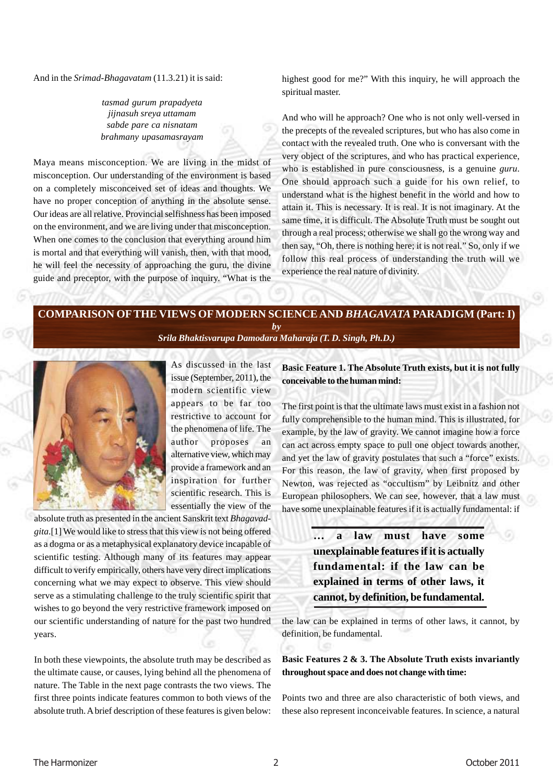And in the *Srimad-Bhagavatam* (11.3.21) it is said:

*tasmad gurum prapadyeta jijnasuh sreya uttamam sabde pare ca nisnatam brahmany upasamasrayam*

Maya means misconception. We are living in the midst of misconception. Our understanding of the environment is based on a completely misconceived set of ideas and thoughts. We have no proper conception of anything in the absolute sense. Our ideas are all relative. Provincial selfishness has been imposed on the environment, and we are living under that misconception. When one comes to the conclusion that everything around him is mortal and that everything will vanish, then, with that mood, he will feel the necessity of approaching the guru, the divine guide and preceptor, with the purpose of inquiry. "What is the

highest good for me?" With this inquiry, he will approach the spiritual master.

And who will he approach? One who is not only well-versed in the precepts of the revealed scriptures, but who has also come in contact with the revealed truth. One who is conversant with the very object of the scriptures, and who has practical experience, who is established in pure consciousness, is a genuine *guru*. One should approach such a guide for his own relief, to understand what is the highest benefit in the world and how to attain it. This is necessary. It is real. It is not imaginary. At the same time, it is difficult. The Absolute Truth must be sought out through a real process; otherwise we shall go the wrong way and then say, "Oh, there is nothing here; it is not real." So, only if we follow this real process of understanding the truth will we experience the real nature of divinity.

# **COMPARISON OFTHE VIEWS OF MODERN SCIENCE AND** *BHAGAVATA* **PARADIGM (Part: I)** *by*

*Srila Bhaktisvarupa Damodara Maharaja (T. D. Singh, Ph.D.)*



As discussed in the last issue (September, 2011), the modern scientific view appears to be far too restrictive to account for the phenomena of life. The author proposes an alternative view, which may provide a framework and an inspiration for further scientific research. This is essentially the view of the

absolute truth as presented in the ancient Sanskrit text *Bhagavadgita*.[1] We would like to stress that this view is not being offered as a dogma or as a metaphysical explanatory device incapable of scientific testing. Although many of its features may appear difficult to verify empirically, others have very direct implications concerning what we may expect to observe. This view should serve as a stimulating challenge to the truly scientific spirit that wishes to go beyond the very restrictive framework imposed on our scientific understanding of nature for the past two hundred years.

In both these viewpoints, the absolute truth may be described as the ultimate cause, or causes, lying behind all the phenomena of nature. The Table in the next page contrasts the two views. The first three points indicate features common to both views of the absolute truth. A brief description of these features is given below:

**Basic Feature 1. The Absolute Truth exists, but it is not fully conceivable to the human mind:**

The first point is that the ultimate laws must exist in a fashion not fully comprehensible to the human mind. This is illustrated, for example, by the law of gravity. We cannot imagine how a force can act across empty space to pull one object towards another, and yet the law of gravity postulates that such a "force" exists. For this reason, the law of gravity, when first proposed by Newton, was rejected as "occultism" by Leibnitz and other European philosophers. We can see, however, that a law must have some unexplainable features if it is actually fundamental: if

> **… a law must have some unexplainable features if it is actually fundamental: if the law can be explained in terms of other laws, it cannot, by definition, be fundamental.**

the law can be explained in terms of other laws, it cannot, by definition, be fundamental.

# **Basic Features 2 & 3. The Absolute Truth exists invariantly throughout space and does not change with time:**

Points two and three are also characteristic of both views, and these also represent inconceivable features. In science, a natural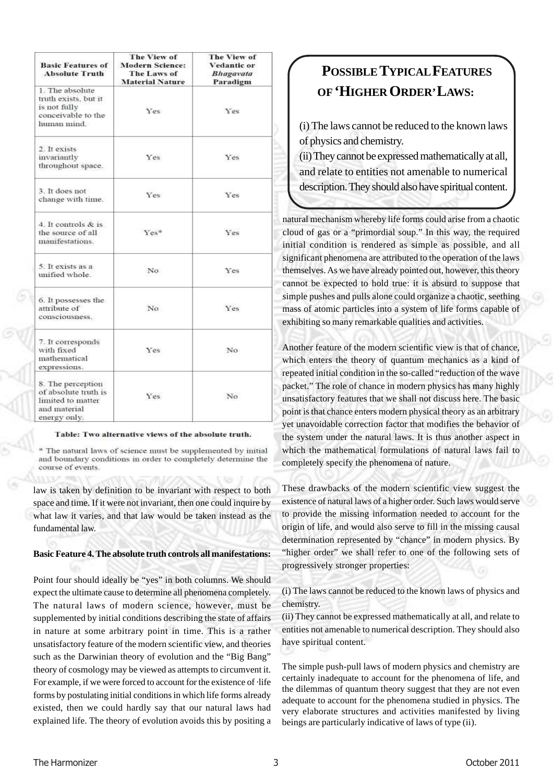| <b>Basic Features of</b><br><b>Absolute Truth</b>                                              | The View of<br><b>Modern Science:</b><br>The Laws of<br><b>Material Nature</b> | The View of<br><b>Vedantic or</b><br><b>Bhagavata</b><br>Paradigm |
|------------------------------------------------------------------------------------------------|--------------------------------------------------------------------------------|-------------------------------------------------------------------|
| 1. The absolute<br>truth exists, but it<br>is not fully<br>conceivable to the<br>human mind.   | Yes                                                                            | <b>Yes</b>                                                        |
| 2. It exists<br>invariantly<br>throughout space.                                               | Yes                                                                            | Yes                                                               |
| 3. It does not<br>change with time.                                                            | Yes                                                                            | Yes                                                               |
| 4. It controls & is<br>the source of all<br>manifestations.                                    | Yes <sup>8</sup>                                                               | Yes                                                               |
| 5. It exists as a<br>unified whole.                                                            | No.                                                                            | Yes.                                                              |
| 6. It possesses the<br>attribute of<br>consciousness.                                          | No.                                                                            | Yes                                                               |
| 7. It corresponds<br>with fixed<br>mathematical<br>expressions.                                | Yes.                                                                           | No.                                                               |
| 8. The perception<br>of absolute truth is<br>limited to matter<br>and material<br>energy only. | Yes                                                                            | No                                                                |

#### Table: Two alternative views of the absolute truth.

<sup>®</sup> The natural laws of science must be supplemented by initial and boundary conditions in order to completely determine the course of events.

law is taken by definition to be invariant with respect to both space and time. If it were not invariant, then one could inquire by what law it varies, and that law would be taken instead as the fundamental law.

# **Basic Feature 4. The absolute truth controls all manifestations:**

Point four should ideally be "yes" in both columns. We should expect the ultimate cause to determine all phenomena completely. The natural laws of modern science, however, must be supplemented by initial conditions describing the state of affairs in nature at some arbitrary point in time. This is a rather unsatisfactory feature of the modern scientific view, and theories such as the Darwinian theory of evolution and the "Big Bang" theory of cosmology may be viewed as attempts to circumvent it. For example, if we were forced to account for the existence of ·life forms by postulating initial conditions in which life forms already existed, then we could hardly say that our natural laws had explained life. The theory of evolution avoids this by positing a

# **POSSIBLE TYPICALFEATURES OF'HIGHER ORDER'LAWS:**

(i) The laws cannot be reduced to the known laws of physics and chemistry.

(ii) They cannot be expressed mathematically at all, and relate to entities not amenable to numerical description. They should also have spiritual content.

natural mechanism whereby life forms could arise from a chaotic cloud of gas or a "primordial soup." In this way, the required initial condition is rendered as simple as possible, and all significant phenomena are attributed to the operation of the laws themselves. As we have already pointed out, however, this theory cannot be expected to hold true: it is absurd to suppose that simple pushes and pulls alone could organize a chaotic, seething mass of atomic particles into a system of life forms capable of exhibiting so many remarkable qualities and activities.

Another feature of the modern scientific view is that of chance, which enters the theory of quantum mechanics as a kind of repeated initial condition in the so-called "reduction of the wave packet." The role of chance in modern physics has many highly unsatisfactory features that we shall not discuss here. The basic point is that chance enters modern physical theory as an arbitrary yet unavoidable correction factor that modifies the behavior of the system under the natural laws. It is thus another aspect in which the mathematical formulations of natural laws fail to completely specify the phenomena of nature.

These drawbacks of the modern scientific view suggest the existence of natural laws of a higher order. Such laws would serve to provide the missing information needed to account for the origin of life, and would also serve to fill in the missing causal determination represented by "chance" in modern physics. By "higher order" we shall refer to one of the following sets of progressively stronger properties:

(i) The laws cannot be reduced to the known laws of physics and chemistry.

(ii) They cannot be expressed mathematically at all, and relate to entities not amenable to numerical description. They should also have spiritual content.

The simple push-pull laws of modern physics and chemistry are certainly inadequate to account for the phenomena of life, and the dilemmas of quantum theory suggest that they are not even adequate to account for the phenomena studied in physics. The very elaborate structures and activities manifested by living beings are particularly indicative of laws of type (ii).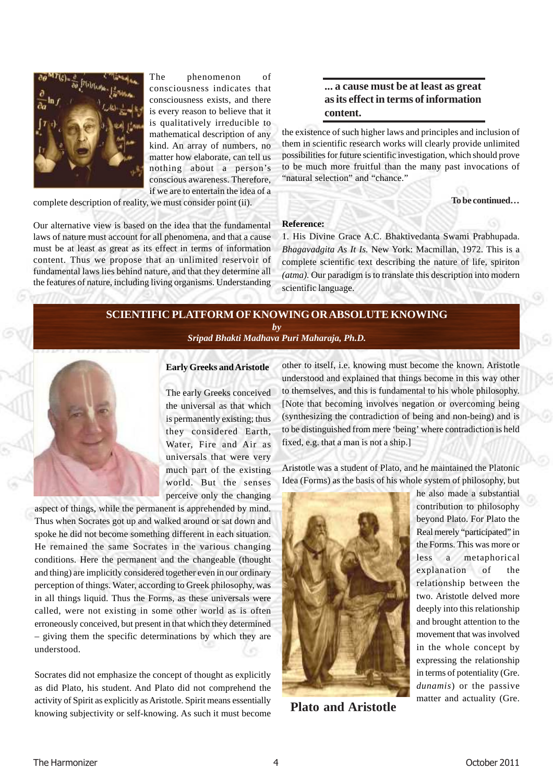

The phenomenon of consciousness indicates that consciousness exists, and there is every reason to believe that it is qualitatively irreducible to mathematical description of any kind. An array of numbers, no matter how elaborate, can tell us nothing about a person's conscious awareness. Therefore, if we are to entertain the idea of a

complete description of reality, we must consider point (ii).

Our alternative view is based on the idea that the fundamental laws of nature must account for all phenomena, and that a cause must be at least as great as its effect in terms of information content. Thus we propose that an unlimited reservoir of fundamental laws lies behind nature, and that they determine all the features of nature, including living organisms. Understanding

# **... a cause must be at least as great as its effect in terms of information content.**

the existence of such higher laws and principles and inclusion of them in scientific research works will clearly provide unlimited possibilities for future scientific investigation, which should prove to be much more fruitful than the many past invocations of "natural selection" and "chance."

**To be continued…**

## **Reference:**

1. His Divine Grace A.C. Bhaktivedanta Swami Prabhupada. *Bhagavadgita As It Is.* New York: Macmillan, 1972. This is a complete scientific text describing the nature of life, spiriton *(atma).* Our paradigm is to translate this description into modern scientific language.

# **SCIENTIFIC PLATFORM OF KNOWING OR ABSOLUTE KNOWING** *by Sripad Bhakti Madhava Puri Maharaja, Ph.D.*



# **Early Greeks and Aristotle**

The early Greeks conceived the universal as that which is permanently existing; thus they considered Earth, Water, Fire and Air as universals that were very much part of the existing world. But the senses perceive only the changing

aspect of things, while the permanent is apprehended by mind. Thus when Socrates got up and walked around or sat down and spoke he did not become something different in each situation. He remained the same Socrates in the various changing conditions. Here the permanent and the changeable (thought and thing) are implicitly considered together even in our ordinary perception of things. Water, according to Greek philosophy, was in all things liquid. Thus the Forms, as these universals were called, were not existing in some other world as is often erroneously conceived, but present in that which they determined – giving them the specific determinations by which they are understood.

Socrates did not emphasize the concept of thought as explicitly as did Plato, his student. And Plato did not comprehend the activity of Spirit as explicitly as Aristotle. Spirit means essentially knowing subjectivity or self-knowing. As such it must become other to itself, i.e. knowing must become the known. Aristotle understood and explained that things become in this way other to themselves, and this is fundamental to his whole philosophy. [Note that becoming involves negation or overcoming being (synthesizing the contradiction of being and non-being) and is to be distinguished from mere 'being' where contradiction is held fixed, e.g. that a man is not a ship.]

Aristotle was a student of Plato, and he maintained the Platonic Idea (Forms) as the basis of his whole system of philosophy, but



**Plato and Aristotle**

he also made a substantial contribution to philosophy beyond Plato. For Plato the Real merely "participated" in the Forms. This was more or less a metaphorical explanation of the relationship between the two. Aristotle delved more deeply into this relationship and brought attention to the movement that was involved in the whole concept by expressing the relationship in terms of potentiality (Gre. *dunamis*) or the passive matter and actuality (Gre.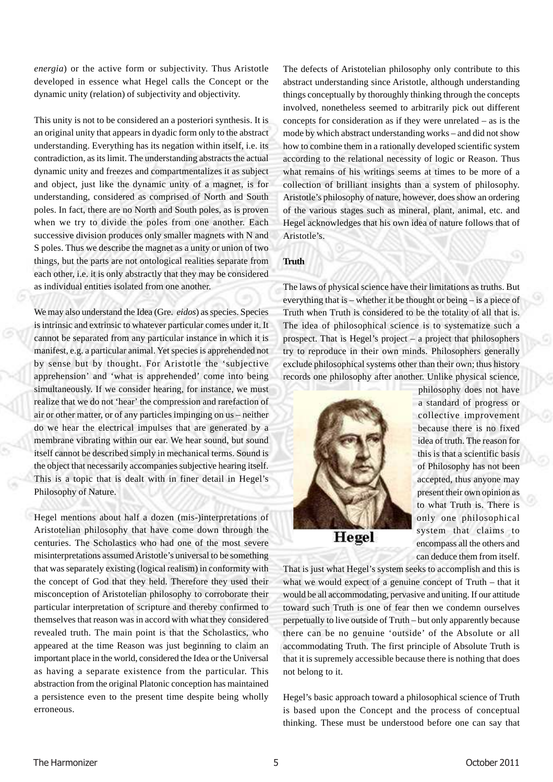*energia*) or the active form or subjectivity. Thus Aristotle developed in essence what Hegel calls the Concept or the dynamic unity (relation) of subjectivity and objectivity.

This unity is not to be considered an a posteriori synthesis. It is an original unity that appears in dyadic form only to the abstract understanding. Everything has its negation within itself, i.e. its contradiction, as its limit. The understanding abstracts the actual dynamic unity and freezes and compartmentalizes it as subject and object, just like the dynamic unity of a magnet, is for understanding, considered as comprised of North and South poles. In fact, there are no North and South poles, as is proven when we try to divide the poles from one another. Each successive division produces only smaller magnets with N and S poles. Thus we describe the magnet as a unity or union of two things, but the parts are not ontological realities separate from each other, i.e. it is only abstractly that they may be considered as individual entities isolated from one another.

We may also understand the Idea (Gre. *eidos*) as species. Species is intrinsic and extrinsic to whatever particular comes under it. It cannot be separated from any particular instance in which it is manifest, e.g. a particular animal. Yet species is apprehended not by sense but by thought. For Aristotle the 'subjective apprehension' and 'what is apprehended' come into being simultaneously. If we consider hearing, for instance, we must realize that we do not 'hear' the compression and rarefaction of air or other matter, or of any particles impinging on us – neither do we hear the electrical impulses that are generated by a membrane vibrating within our ear. We hear sound, but sound itself cannot be described simply in mechanical terms. Sound is the object that necessarily accompanies subjective hearing itself. This is a topic that is dealt with in finer detail in Hegel's Philosophy of Nature.

Hegel mentions about half a dozen (mis-)interpretations of Aristotelian philosophy that have come down through the centuries. The Scholastics who had one of the most severe misinterpretations assumed Aristotle's universal to be something that was separately existing (logical realism) in conformity with the concept of God that they held. Therefore they used their misconception of Aristotelian philosophy to corroborate their particular interpretation of scripture and thereby confirmed to themselves that reason was in accord with what they considered revealed truth. The main point is that the Scholastics, who appeared at the time Reason was just beginning to claim an important place in the world, considered the Idea or the Universal as having a separate existence from the particular. This abstraction from the original Platonic conception has maintained a persistence even to the present time despite being wholly erroneous.

The defects of Aristotelian philosophy only contribute to this abstract understanding since Aristotle, although understanding things conceptually by thoroughly thinking through the concepts involved, nonetheless seemed to arbitrarily pick out different concepts for consideration as if they were unrelated – as is the mode by which abstract understanding works – and did not show how to combine them in a rationally developed scientific system according to the relational necessity of logic or Reason. Thus what remains of his writings seems at times to be more of a collection of brilliant insights than a system of philosophy. Aristotle's philosophy of nature, however, does show an ordering of the various stages such as mineral, plant, animal, etc. and Hegel acknowledges that his own idea of nature follows that of Aristotle's.

# **Truth**

The laws of physical science have their limitations as truths. But everything that is – whether it be thought or being – is a piece of Truth when Truth is considered to be the totality of all that is. The idea of philosophical science is to systematize such a prospect. That is Hegel's project – a project that philosophers try to reproduce in their own minds. Philosophers generally exclude philosophical systems other than their own; thus history records one philosophy after another. Unlike physical science,



philosophy does not have a standard of progress or collective improvement because there is no fixed idea of truth. The reason for this is that a scientific basis of Philosophy has not been accepted, thus anyone may present their own opinion as to what Truth is. There is only one philosophical system that claims to encompass all the others and can deduce them from itself.

That is just what Hegel's system seeks to accomplish and this is what we would expect of a genuine concept of Truth – that it would be all accommodating, pervasive and uniting. If our attitude toward such Truth is one of fear then we condemn ourselves perpetually to live outside of Truth – but only apparently because there can be no genuine 'outside' of the Absolute or all accommodating Truth. The first principle of Absolute Truth is that it is supremely accessible because there is nothing that does not belong to it.

Hegel's basic approach toward a philosophical science of Truth is based upon the Concept and the process of conceptual thinking. These must be understood before one can say that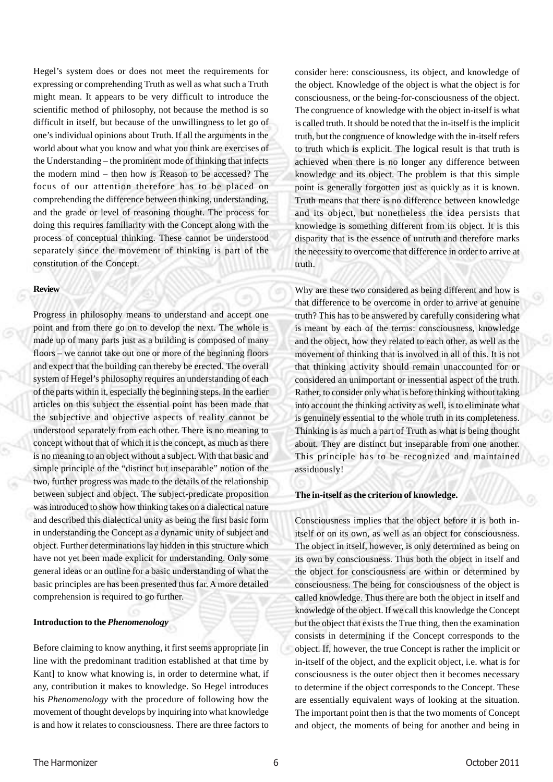Hegel's system does or does not meet the requirements for expressing or comprehending Truth as well as what such a Truth might mean. It appears to be very difficult to introduce the scientific method of philosophy, not because the method is so difficult in itself, but because of the unwillingness to let go of one's individual opinions about Truth. If all the arguments in the world about what you know and what you think are exercises of the Understanding – the prominent mode of thinking that infects the modern mind – then how is Reason to be accessed? The focus of our attention therefore has to be placed on comprehending the difference between thinking, understanding, and the grade or level of reasoning thought. The process for doing this requires familiarity with the Concept along with the process of conceptual thinking. These cannot be understood separately since the movement of thinking is part of the constitution of the Concept.

# **Review**

Progress in philosophy means to understand and accept one point and from there go on to develop the next. The whole is made up of many parts just as a building is composed of many floors – we cannot take out one or more of the beginning floors and expect that the building can thereby be erected. The overall system of Hegel's philosophy requires an understanding of each of the parts within it, especially the beginning steps. In the earlier articles on this subject the essential point has been made that the subjective and objective aspects of reality cannot be understood separately from each other. There is no meaning to concept without that of which it is the concept, as much as there is no meaning to an object without a subject. With that basic and simple principle of the "distinct but inseparable" notion of the two, further progress was made to the details of the relationship between subject and object. The subject-predicate proposition was introduced to show how thinking takes on a dialectical nature and described this dialectical unity as being the first basic form in understanding the Concept as a dynamic unity of subject and object. Further determinations lay hidden in this structure which have not yet been made explicit for understanding. Only some general ideas or an outline for a basic understanding of what the basic principles are has been presented thus far. A more detailed comprehension is required to go further.

# **Introduction to the** *Phenomenology*

Before claiming to know anything, it first seems appropriate [in line with the predominant tradition established at that time by Kant] to know what knowing is, in order to determine what, if any, contribution it makes to knowledge. So Hegel introduces his *Phenomenology* with the procedure of following how the movement of thought develops by inquiring into what knowledge is and how it relates to consciousness. There are three factors to

consider here: consciousness, its object, and knowledge of the object. Knowledge of the object is what the object is for consciousness, or the being-for-consciousness of the object. The congruence of knowledge with the object in-itself is what is called truth. It should be noted that the in-itself is the implicit truth, but the congruence of knowledge with the in-itself refers to truth which is explicit. The logical result is that truth is achieved when there is no longer any difference between knowledge and its object. The problem is that this simple point is generally forgotten just as quickly as it is known. Truth means that there is no difference between knowledge and its object, but nonetheless the idea persists that knowledge is something different from its object. It is this disparity that is the essence of untruth and therefore marks the necessity to overcome that difference in order to arrive at truth.

Why are these two considered as being different and how is that difference to be overcome in order to arrive at genuine truth? This has to be answered by carefully considering what is meant by each of the terms: consciousness, knowledge and the object, how they related to each other, as well as the movement of thinking that is involved in all of this. It is not that thinking activity should remain unaccounted for or considered an unimportant or inessential aspect of the truth. Rather, to consider only what is before thinking without taking into account the thinking activity as well, is to eliminate what is genuinely essential to the whole truth in its completeness. Thinking is as much a part of Truth as what is being thought about. They are distinct but inseparable from one another. This principle has to be recognized and maintained assiduously!

## **The in-itself as the criterion of knowledge.**

Consciousness implies that the object before it is both initself or on its own, as well as an object for consciousness. The object in itself, however, is only determined as being on its own by consciousness. Thus both the object in itself and the object for consciousness are within or determined by consciousness. The being for consciousness of the object is called knowledge. Thus there are both the object in itself and knowledge of the object. If we call this knowledge the Concept but the object that exists the True thing, then the examination consists in determining if the Concept corresponds to the object. If, however, the true Concept is rather the implicit or in-itself of the object, and the explicit object, i.e. what is for consciousness is the outer object then it becomes necessary to determine if the object corresponds to the Concept. These are essentially equivalent ways of looking at the situation. The important point then is that the two moments of Concept and object, the moments of being for another and being in